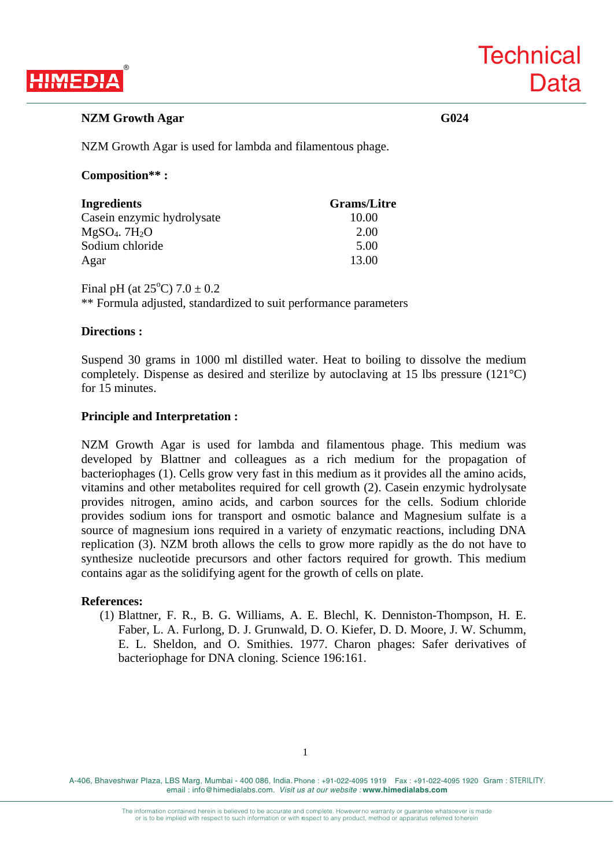

**Technical** 

**Data** 

NZM Growth Agar is used for lambda and filamentous phage.

# **Composition\*\* :**

| Ingredients                 | <b>Grams/Litre</b> |
|-----------------------------|--------------------|
| Casein enzymic hydrolysate  | 10.00              |
| $MgSO4$ . 7H <sub>2</sub> O | 2.00               |
| Sodium chloride             | 5.00               |
| Agar                        | 13.00              |

Final pH (at  $25^{\circ}$ C)  $7.0 \pm 0.2$ \*\* Formula adjusted, standardized to suit performance parameters

## **Directions :**

Suspend 30 grams in 1000 ml distilled water. Heat to boiling to dissolve the medium completely. Dispense as desired and sterilize by autoclaving at 15 lbs pressure (121°C) for 15 minutes.

# **Principle and Interpretation :**

NZM Growth Agar is used for lambda and filamentous phage. This medium was developed by Blattner and colleagues as a rich medium for the propagation of bacteriophages (1). Cells grow very fast in this medium as it provides all the amino acids, vitamins and other metabolites required for cell growth (2). Casein enzymic hydrolysate provides nitrogen, amino acids, and carbon sources for the cells. Sodium chloride provides sodium ions for transport and osmotic balance and Magnesium sulfate is a source of magnesium ions required in a variety of enzymatic reactions, including DNA replication (3). NZM broth allows the cells to grow more rapidly as the do not have to synthesize nucleotide precursors and other factors required for growth. This medium contains agar as the solidifying agent for the growth of cells on plate.

#### **References:**

(1) Blattner, F. R., B. G. Williams, A. E. Blechl, K. Denniston-Thompson, H. E. Faber, L. A. Furlong, D. J. Grunwald, D. O. Kiefer, D. D. Moore, J. W. Schumm, E. L. Sheldon, and O. Smithies. 1977. Charon phages: Safer derivatives of bacteriophage for DNA cloning. Science 196:161.

A-406, Bhaveshwar Plaza, LBS Marg, Mumbai - 400 086, India. Phone : +91-022-4095 1919 Fax : +91-022-4095 1920 Gram : STERILITY. email : info@himedialabs.com. *Visit us at our website :* **www.himedialabs.com**